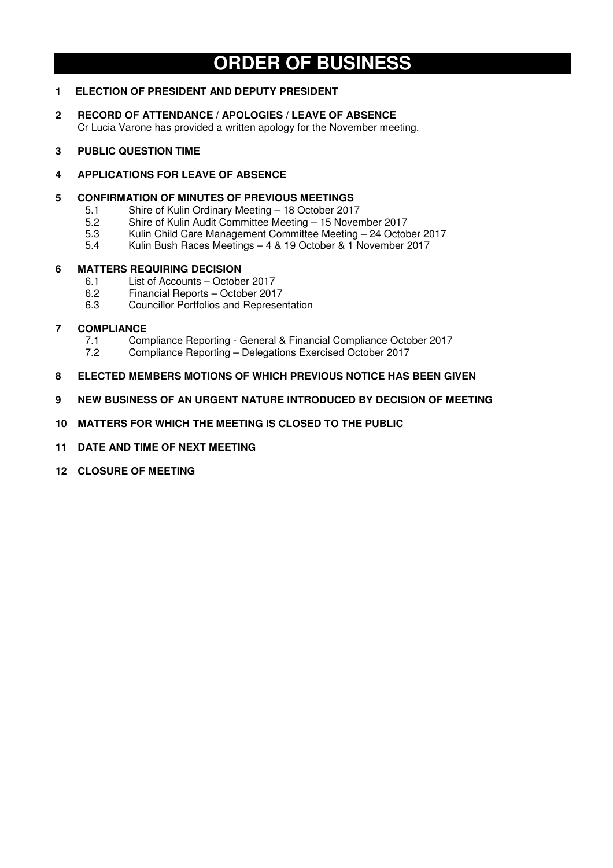# **ORDER OF BUSINESS**

### **1 ELECTION OF PRESIDENT AND DEPUTY PRESIDENT**

**2 RECORD OF ATTENDANCE / APOLOGIES / LEAVE OF ABSENCE**  Cr Lucia Varone has provided a written apology for the November meeting.

### **3 PUBLIC QUESTION TIME**

### **4 APPLICATIONS FOR LEAVE OF ABSENCE**

### **5 CONFIRMATION OF MINUTES OF PREVIOUS MEETINGS**

- 5.1 Shire of Kulin Ordinary Meeting 18 October 2017<br>5.2 Shire of Kulin Audit Committee Meeting 15 Nover
- 5.2 Shire of Kulin Audit Committee Meeting 15 November 2017
- 5.3 Kulin Child Care Management Committee Meeting 24 October 2017
- 5.4 Kulin Bush Races Meetings 4 & 19 October & 1 November 2017

### **6 MATTERS REQUIRING DECISION**

- 6.1 List of Accounts October 2017
- 6.2 Financial Reports October 2017<br>6.3 Councillor Portfolios and Represe
- 6.3 Councillor Portfolios and Representation

### **7 COMPLIANCE**

- 7.1 Compliance Reporting General & Financial Compliance October 2017<br>7.2 Compliance Reporting Delegations Exercised October 2017
- 7.2 Compliance Reporting Delegations Exercised October 2017
- **8 ELECTED MEMBERS MOTIONS OF WHICH PREVIOUS NOTICE HAS BEEN GIVEN**
- **9 NEW BUSINESS OF AN URGENT NATURE INTRODUCED BY DECISION OF MEETING**
- **10 MATTERS FOR WHICH THE MEETING IS CLOSED TO THE PUBLIC**
- **11 DATE AND TIME OF NEXT MEETING**
- **12 CLOSURE OF MEETING**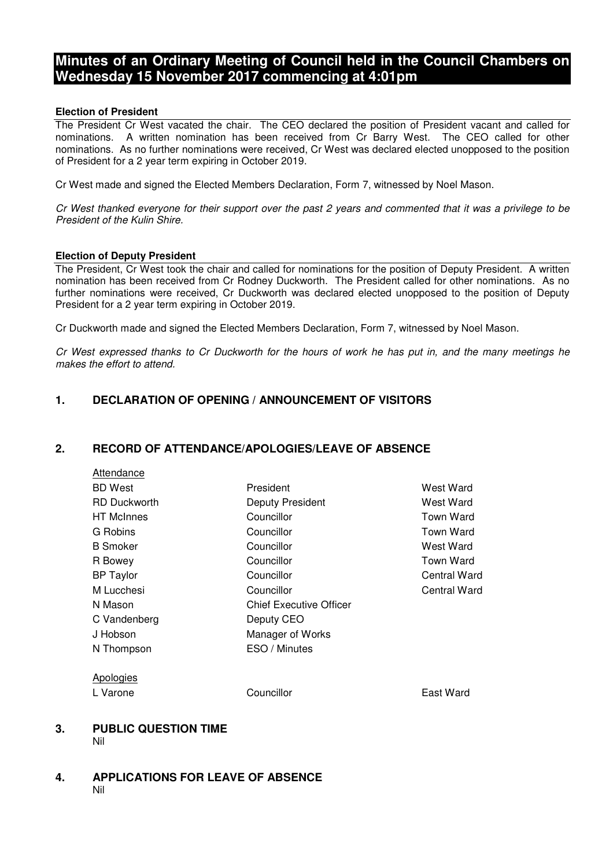## **Minutes of an Ordinary Meeting of Council held in the Council Chambers on Wednesday 15 November 2017 commencing at 4:01pm**

### **Election of President**

The President Cr West vacated the chair. The CEO declared the position of President vacant and called for nominations. A written nomination has been received from Cr Barry West. The CEO called for other nominations. As no further nominations were received, Cr West was declared elected unopposed to the position of President for a 2 year term expiring in October 2019.

Cr West made and signed the Elected Members Declaration, Form 7, witnessed by Noel Mason.

Cr West thanked everyone for their support over the past 2 years and commented that it was a privilege to be President of the Kulin Shire.

### **Election of Deputy President**

Attendance

The President, Cr West took the chair and called for nominations for the position of Deputy President. A written nomination has been received from Cr Rodney Duckworth. The President called for other nominations. As no further nominations were received, Cr Duckworth was declared elected unopposed to the position of Deputy President for a 2 year term expiring in October 2019.

Cr Duckworth made and signed the Elected Members Declaration, Form 7, witnessed by Noel Mason.

Cr West expressed thanks to Cr Duckworth for the hours of work he has put in, and the many meetings he makes the effort to attend.

## **1. DECLARATION OF OPENING / ANNOUNCEMENT OF VISITORS**

### **2. RECORD OF ATTENDANCE/APOLOGIES/LEAVE OF ABSENCE**

| <b>BD</b> West      | President                      | West Ward        |
|---------------------|--------------------------------|------------------|
| <b>RD Duckworth</b> | Deputy President               | West Ward        |
| <b>HT</b> McInnes   | Councillor                     | <b>Town Ward</b> |
| G Robins            | Councillor                     | Town Ward        |
| <b>B</b> Smoker     | Councillor                     | West Ward        |
| R Bowey             | Councillor                     | Town Ward        |
| <b>BP Taylor</b>    | Councillor                     | Central Ward     |
| M Lucchesi          | Councillor                     | Central Ward     |
| N Mason             | <b>Chief Executive Officer</b> |                  |
| C Vandenberg        | Deputy CEO                     |                  |
| J Hobson            | Manager of Works               |                  |
| N Thompson          | ESO / Minutes                  |                  |
| Apologies           |                                |                  |
| L Varone            | Councillor                     | East Ward        |
|                     |                                |                  |

### **3. PUBLIC QUESTION TIME**  Nil

### **4. APPLICATIONS FOR LEAVE OF ABSENCE**  Nil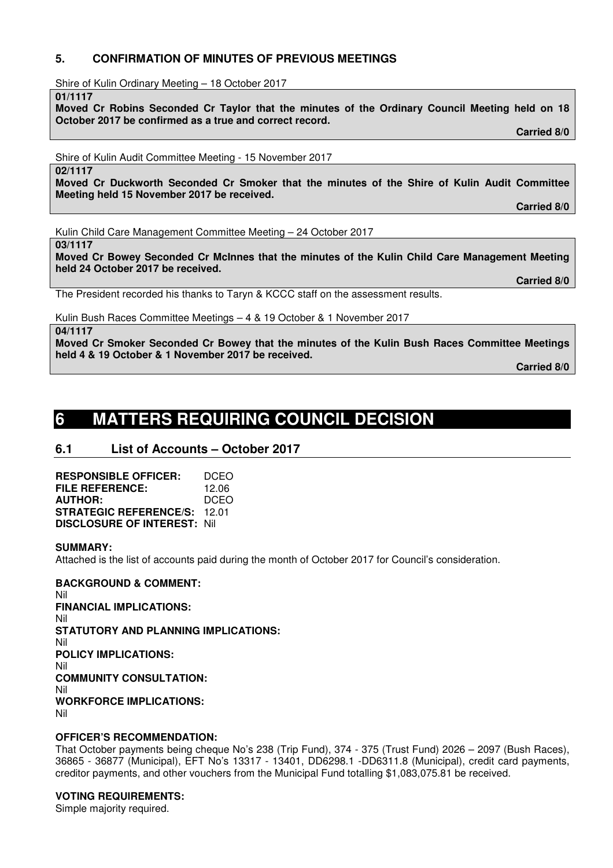### **5. CONFIRMATION OF MINUTES OF PREVIOUS MEETINGS**

Shire of Kulin Ordinary Meeting – 18 October 2017

**01/1117** 

**Moved Cr Robins Seconded Cr Taylor that the minutes of the Ordinary Council Meeting held on 18 October 2017 be confirmed as a true and correct record. Carried 8/0** 

Shire of Kulin Audit Committee Meeting - 15 November 2017

**02/1117** 

**Moved Cr Duckworth Seconded Cr Smoker that the minutes of the Shire of Kulin Audit Committee Meeting held 15 November 2017 be received.** 

 **Carried 8/0** 

 **Carried 8/0** 

Kulin Child Care Management Committee Meeting – 24 October 2017

**03/1117** 

**Moved Cr Bowey Seconded Cr McInnes that the minutes of the Kulin Child Care Management Meeting held 24 October 2017 be received.** 

The President recorded his thanks to Taryn & KCCC staff on the assessment results.

Kulin Bush Races Committee Meetings – 4 & 19 October & 1 November 2017

**04/1117** 

**Moved Cr Smoker Seconded Cr Bowey that the minutes of the Kulin Bush Races Committee Meetings held 4 & 19 October & 1 November 2017 be received.** 

 **Carried 8/0** 

# **6 MATTERS REQUIRING COUNCIL DECISION**

## **6.1 List of Accounts – October 2017**

**RESPONSIBLE OFFICER:** DCEO **FILE REFERENCE:** 12.06 **AUTHOR:** DCEO **STRATEGIC REFERENCE/S:** 12.01 **DISCLOSURE OF INTEREST:** Nil

### **SUMMARY:**

Attached is the list of accounts paid during the month of October 2017 for Council's consideration.

**BACKGROUND & COMMENT:**  Nil **FINANCIAL IMPLICATIONS:**  Nil **STATUTORY AND PLANNING IMPLICATIONS:**  Nil **POLICY IMPLICATIONS:**  Nil **COMMUNITY CONSULTATION:**  Nil **WORKFORCE IMPLICATIONS:**  Nil

### **OFFICER'S RECOMMENDATION:**

That October payments being cheque No's 238 (Trip Fund), 374 - 375 (Trust Fund) 2026 – 2097 (Bush Races), 36865 - 36877 (Municipal), EFT No's 13317 - 13401, DD6298.1 -DD6311.8 (Municipal), credit card payments, creditor payments, and other vouchers from the Municipal Fund totalling \$1,083,075.81 be received.

## **VOTING REQUIREMENTS:**

Simple majority required.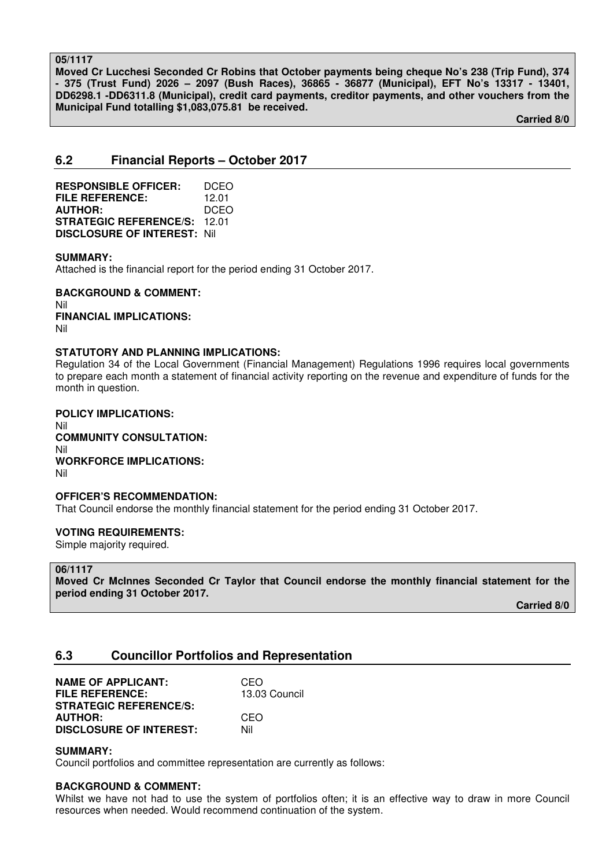### **05/1117**

**Moved Cr Lucchesi Seconded Cr Robins that October payments being cheque No's 238 (Trip Fund), 374 - 375 (Trust Fund) 2026 – 2097 (Bush Races), 36865 - 36877 (Municipal), EFT No's 13317 - 13401, DD6298.1 -DD6311.8 (Municipal), credit card payments, creditor payments, and other vouchers from the Municipal Fund totalling \$1,083,075.81 be received.** 

 **Carried 8/0** 

## **6.2 Financial Reports – October 2017**

| <b>RESPONSIBLE OFFICER:</b>         | DCEO  |
|-------------------------------------|-------|
| <b>FILE REFERENCE:</b>              | 12.01 |
| <b>AUTHOR:</b>                      | DCEO  |
| <b>STRATEGIC REFERENCE/S:</b>       | 12 O1 |
| <b>DISCLOSURE OF INTEREST: Nill</b> |       |

### **SUMMARY:**

Attached is the financial report for the period ending 31 October 2017.

**BACKGROUND & COMMENT:**  Nil **FINANCIAL IMPLICATIONS:**  Nil

### **STATUTORY AND PLANNING IMPLICATIONS:**

Regulation 34 of the Local Government (Financial Management) Regulations 1996 requires local governments to prepare each month a statement of financial activity reporting on the revenue and expenditure of funds for the month in question.

**POLICY IMPLICATIONS:**  Nil **COMMUNITY CONSULTATION:**  Nil **WORKFORCE IMPLICATIONS:**  Nil

### **OFFICER'S RECOMMENDATION:**

That Council endorse the monthly financial statement for the period ending 31 October 2017.

### **VOTING REQUIREMENTS:**

Simple majority required.

#### **06/1117**

**Moved Cr McInnes Seconded Cr Taylor that Council endorse the monthly financial statement for the period ending 31 October 2017.** 

 **Carried 8/0** 

### **6.3 Councillor Portfolios and Representation**

| <b>NAME OF APPLICANT:</b>      | CEO           |
|--------------------------------|---------------|
| <b>FILE REFERENCE:</b>         | 13.03 Council |
| <b>STRATEGIC REFERENCE/S:</b>  |               |
| <b>AUTHOR:</b>                 | CEO           |
| <b>DISCLOSURE OF INTEREST:</b> | Nil           |

### **SUMMARY:**

Council portfolios and committee representation are currently as follows:

### **BACKGROUND & COMMENT:**

Whilst we have not had to use the system of portfolios often; it is an effective way to draw in more Council resources when needed. Would recommend continuation of the system.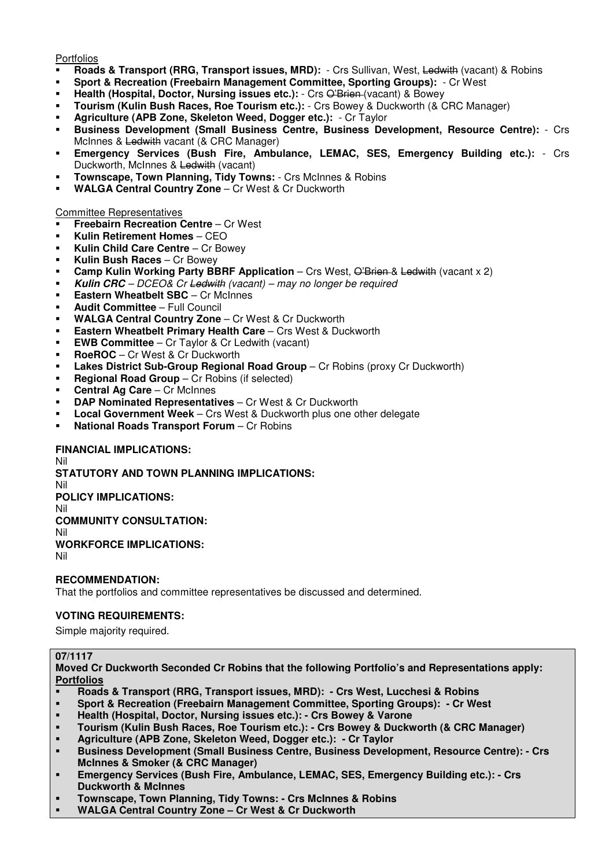Portfolios

- **Roads & Transport (RRG, Transport issues, MRD):**  Crs Sullivan, West, Ledwith (vacant) & Robins
- **Sport & Recreation (Freebairn Management Committee, Sporting Groups):** Cr West
- Health (Hospital, Doctor, Nursing issues etc.): Crs O'Brien (vacant) & Bowey
- **Tourism (Kulin Bush Races, Roe Tourism etc.):** Crs Bowey & Duckworth (& CRC Manager)
- **Agriculture (APB Zone, Skeleton Weed, Dogger etc.):** Cr Taylor
- **Business Development (Small Business Centre, Business Development, Resource Centre):** Crs McInnes & Ledwith vacant (& CRC Manager)
- **Emergency Services (Bush Fire, Ambulance, LEMAC, SES, Emergency Building etc.):** Crs Duckworth, McInnes & Ledwith (vacant)
- **Townscape, Town Planning, Tidy Towns:** Crs McInnes & Robins
- **WALGA Central Country Zone** Cr West & Cr Duckworth

### Committee Representatives

- **Freebairn Recreation Centre** Cr West
- **Kulin Retirement Homes** CEO
- **Kulin Child Care Centre** Cr Bowey
- **Kulin Bush Races** Cr Bowey
- **Camp Kulin Working Party BBRF Application** Crs West, O'Brien & Ledwith (vacant x 2)
- **Kulin CRC** DCEO& Cr Ledwith (vacant) may no longer be required
- **Eastern Wheatbelt SBC** Cr McInnes
- **Audit Committee** Full Council
- **WALGA Central Country Zone** Cr West & Cr Duckworth
- **Eastern Wheatbelt Primary Health Care** Crs West & Duckworth
- **EWB Committee** Cr Taylor & Cr Ledwith (vacant)
- **RoeROC**  Cr West & Cr Duckworth
- **Lakes District Sub-Group Regional Road Group** Cr Robins (proxy Cr Duckworth)
- **Regional Road Group** Cr Robins (if selected)
- **Central Ag Care** Cr McInnes
- **DAP Nominated Representatives** Cr West & Cr Duckworth
- **Local Government Week** Crs West & Duckworth plus one other delegate
- **National Roads Transport Forum** Cr Robins

### **FINANCIAL IMPLICATIONS:**

Nil **STATUTORY AND TOWN PLANNING IMPLICATIONS:**  Nil **POLICY IMPLICATIONS:** Nil **COMMUNITY CONSULTATION:** Nil

**WORKFORCE IMPLICATIONS:**

Nil

### **RECOMMENDATION:**

That the portfolios and committee representatives be discussed and determined.

### **VOTING REQUIREMENTS:**

Simple majority required.

### **07/1117**

**Moved Cr Duckworth Seconded Cr Robins that the following Portfolio's and Representations apply: Portfolios** 

- **Roads & Transport (RRG, Transport issues, MRD): Crs West, Lucchesi & Robins**
- **Sport & Recreation (Freebairn Management Committee, Sporting Groups): Cr West**
- **Health (Hospital, Doctor, Nursing issues etc.): Crs Bowey & Varone**
- **Tourism (Kulin Bush Races, Roe Tourism etc.): Crs Bowey & Duckworth (& CRC Manager)**
- **Agriculture (APB Zone, Skeleton Weed, Dogger etc.): Cr Taylor**
- **Business Development (Small Business Centre, Business Development, Resource Centre): Crs McInnes & Smoker (& CRC Manager)**
- **Emergency Services (Bush Fire, Ambulance, LEMAC, SES, Emergency Building etc.): Crs Duckworth & McInnes**
- **Townscape, Town Planning, Tidy Towns: Crs McInnes & Robins**
- **WALGA Central Country Zone Cr West & Cr Duckworth**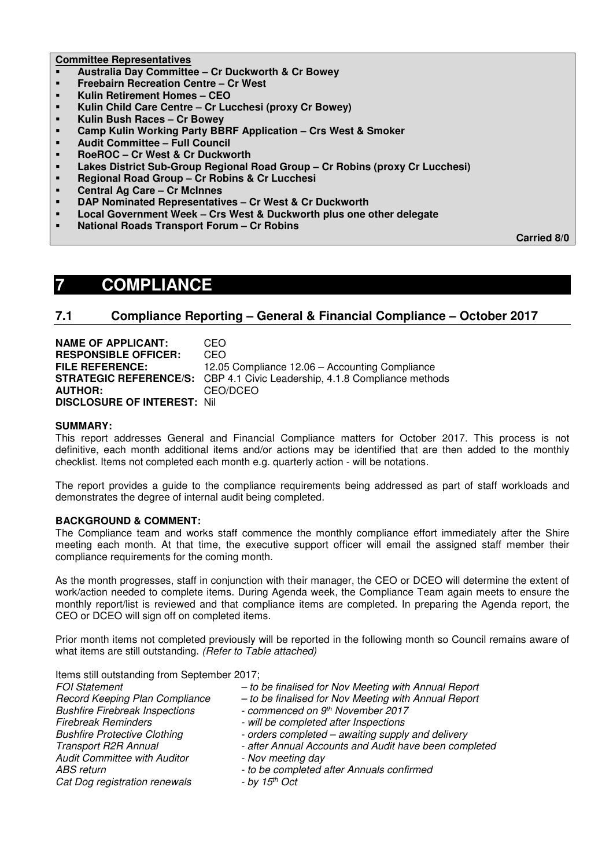### **Committee Representatives**

- **Australia Day Committee Cr Duckworth & Cr Bowey**
- **Freebairn Recreation Centre Cr West**
- **Kulin Retirement Homes CEO**
- **Kulin Child Care Centre Cr Lucchesi (proxy Cr Bowey)**
- **Kulin Bush Races Cr Bowey**
- **Camp Kulin Working Party BBRF Application Crs West & Smoker**
- **Audit Committee Full Council**
- **RoeROC Cr West & Cr Duckworth**
- **Lakes District Sub-Group Regional Road Group Cr Robins (proxy Cr Lucchesi)**
- **Regional Road Group Cr Robins & Cr Lucchesi**
- **Central Ag Care Cr McInnes**
- **DAP Nominated Representatives Cr West & Cr Duckworth**
- **Local Government Week Crs West & Duckworth plus one other delegate**
- **National Roads Transport Forum Cr Robins**

 **Carried 8/0** 

## **7 COMPLIANCE**

### **7.1 Compliance Reporting – General & Financial Compliance – October 2017**

**NAME OF APPLICANT:** CEO **RESPONSIBLE OFFICER:** CEO **FILE REFERENCE:** 12.05 Compliance 12.06 – Accounting Compliance **STRATEGIC REFERENCE/S:** CBP 4.1 Civic Leadership, 4.1.8 Compliance methods **AUTHOR:** CEO/DCEO **DISCLOSURE OF INTEREST:** Nil

### **SUMMARY:**

This report addresses General and Financial Compliance matters for October 2017. This process is not definitive, each month additional items and/or actions may be identified that are then added to the monthly checklist. Items not completed each month e.g. quarterly action - will be notations.

The report provides a guide to the compliance requirements being addressed as part of staff workloads and demonstrates the degree of internal audit being completed.

### **BACKGROUND & COMMENT:**

The Compliance team and works staff commence the monthly compliance effort immediately after the Shire meeting each month. At that time, the executive support officer will email the assigned staff member their compliance requirements for the coming month.

As the month progresses, staff in conjunction with their manager, the CEO or DCEO will determine the extent of work/action needed to complete items. During Agenda week, the Compliance Team again meets to ensure the monthly report/list is reviewed and that compliance items are completed. In preparing the Agenda report, the CEO or DCEO will sign off on completed items.

Prior month items not completed previously will be reported in the following month so Council remains aware of what items are still outstanding. (Refer to Table attached)

Items still outstanding from September 2017;

| <b>FOI Statement</b>                  | - to be finalised for Nov Meeting with Annual Report  |
|---------------------------------------|-------------------------------------------------------|
| Record Keeping Plan Compliance        | - to be finalised for Nov Meeting with Annual Report  |
| <b>Bushfire Firebreak Inspections</b> | - commenced on 9th November 2017                      |
| <b>Firebreak Reminders</b>            | - will be completed after Inspections                 |
| <b>Bushfire Protective Clothing</b>   | - orders completed – awaiting supply and delivery     |
| <b>Transport R2R Annual</b>           | - after Annual Accounts and Audit have been completed |
| <b>Audit Committee with Auditor</b>   | - Nov meeting day                                     |
| ABS return                            | - to be completed after Annuals confirmed             |
| Cat Dog registration renewals         | $-$ by 15 <sup>th</sup> Oct                           |
|                                       |                                                       |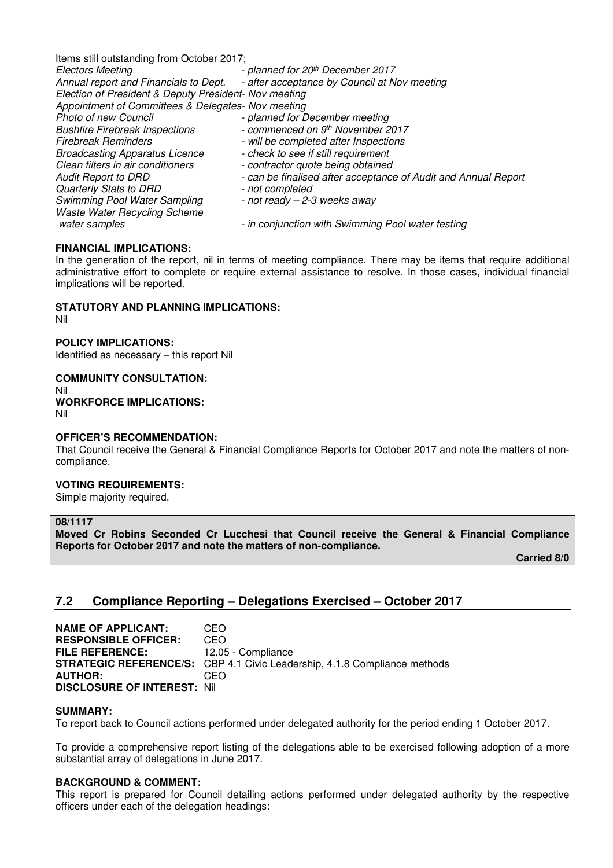Items still outstanding from October 2017; Electors Meeting - planned for 20<sup>th</sup> December 2017 Annual report and Financials to Dept. - after acceptance by Council at Nov meeting Election of President & Deputy President- Nov meeting Appointment of Committees & Delegates- Nov meeting Photo of new Council **Finance 1 council** - planned for December meeting<br>Bushfire Firebreak Inspections **Finance 1 commenced on 9th November** - commenced on 9th November 2017 Firebreak Reminders **Firebreak** Reminders **Firebreak** Reminders Broadcasting Apparatus Licence - check to see if still requirement Clean filters in air conditioners - contractor quote being obtained Audit Report to DRD - can be finalised after acceptance of Audit and Annual Report Quarterly Stats to DRD - not completed Swimming Pool Water Sampling  $-$  not ready  $-$  2-3 weeks away Waste Water Recycling Scheme water samples **container a state of the samples** of the conjunction with Swimming Pool water testing

### **FINANCIAL IMPLICATIONS:**

In the generation of the report, nil in terms of meeting compliance. There may be items that require additional administrative effort to complete or require external assistance to resolve. In those cases, individual financial implications will be reported.

### **STATUTORY AND PLANNING IMPLICATIONS:**

Nil

**POLICY IMPLICATIONS:** 

Identified as necessary – this report Nil

**COMMUNITY CONSULTATION:**  Nil **WORKFORCE IMPLICATIONS:**  Nil

### **OFFICER'S RECOMMENDATION:**

That Council receive the General & Financial Compliance Reports for October 2017 and note the matters of noncompliance.

### **VOTING REQUIREMENTS:**

Simple majority required.

### **08/1117**

**Moved Cr Robins Seconded Cr Lucchesi that Council receive the General & Financial Compliance Reports for October 2017 and note the matters of non-compliance.** 

 **Carried 8/0** 

## **7.2 Compliance Reporting – Delegations Exercised – October 2017**

**NAME OF APPLICANT: CEO RESPONSIBLE OFFICER:** CEO<br>**FILE REFERENCE:** 12.05 **FILE REFERENCE:** 12.05 - Compliance **STRATEGIC REFERENCE/S:** CBP 4.1 Civic Leadership, 4.1.8 Compliance methods **AUTHOR:** CEO **DISCLOSURE OF INTEREST:** Nil

### **SUMMARY:**

To report back to Council actions performed under delegated authority for the period ending 1 October 2017.

To provide a comprehensive report listing of the delegations able to be exercised following adoption of a more substantial array of delegations in June 2017.

### **BACKGROUND & COMMENT:**

This report is prepared for Council detailing actions performed under delegated authority by the respective officers under each of the delegation headings: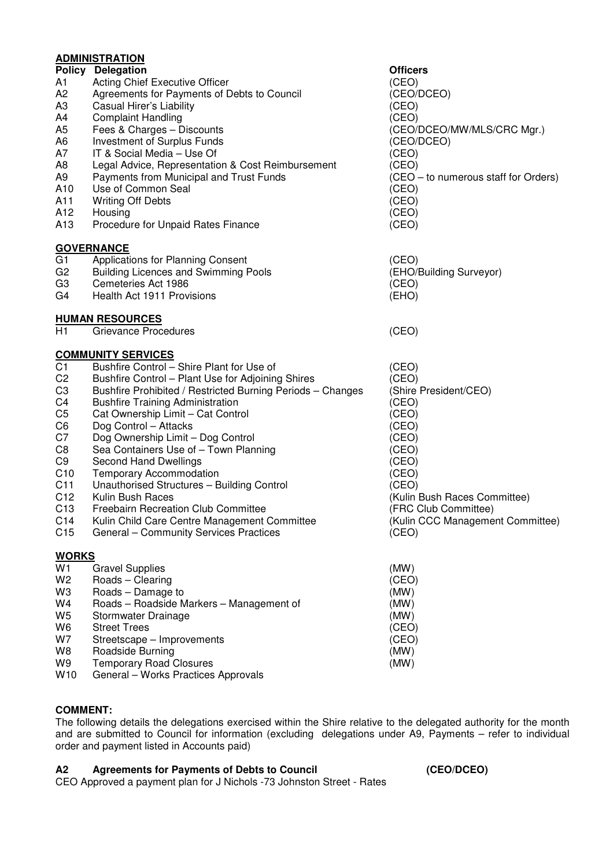## **ADMINISTRATION**

|                 | <b>Policy Delegation</b>                                              | <b>Officers</b>                      |
|-----------------|-----------------------------------------------------------------------|--------------------------------------|
| A1              | <b>Acting Chief Executive Officer</b>                                 | (CEO)                                |
| A <sub>2</sub>  | Agreements for Payments of Debts to Council                           | (CEO/DCEO)                           |
| A <sub>3</sub>  | Casual Hirer's Liability                                              | (CEO)                                |
| A4              | <b>Complaint Handling</b>                                             | (CEO)                                |
| A5              | Fees & Charges - Discounts                                            | (CEO/DCEO/MW/MLS/CRC Mgr.)           |
| A6              | Investment of Surplus Funds                                           | (CEO/DCEO)                           |
| A7              | IT & Social Media - Use Of                                            | (CEO)                                |
| A8              | Legal Advice, Representation & Cost Reimbursement                     | (CEO)                                |
| A <sub>9</sub>  | Payments from Municipal and Trust Funds                               | (CEO – to numerous staff for Orders) |
| A10             | Use of Common Seal                                                    | (CEO)                                |
| A11             | <b>Writing Off Debts</b>                                              | (CEO)                                |
| A12             | Housing                                                               | (CEO)                                |
| A <sub>13</sub> | Procedure for Unpaid Rates Finance                                    | (CEO)                                |
|                 | <b>GOVERNANCE</b>                                                     |                                      |
| G1              | Applications for Planning Consent                                     | (CEO)                                |
| G <sub>2</sub>  | <b>Building Licences and Swimming Pools</b>                           | (EHO/Building Surveyor)              |
| G <sub>3</sub>  | Cemeteries Act 1986                                                   | (CEO)                                |
| G4              | Health Act 1911 Provisions                                            | (EHO)                                |
|                 | <b>HUMAN RESOURCES</b>                                                |                                      |
| H1              | <b>Grievance Procedures</b>                                           | (CEO)                                |
|                 | <b>COMMUNITY SERVICES</b>                                             |                                      |
| C <sub>1</sub>  | Bushfire Control - Shire Plant for Use of                             | (CEO)                                |
| C <sub>2</sub>  | Bushfire Control - Plant Use for Adjoining Shires                     | (CEO)                                |
| C <sub>3</sub>  | Bushfire Prohibited / Restricted Burning Periods - Changes            | (Shire President/CEO)                |
| C4              | <b>Bushfire Training Administration</b>                               | (CEO)                                |
| C <sub>5</sub>  | Cat Ownership Limit - Cat Control                                     | (CEO)                                |
| C <sub>6</sub>  | Dog Control - Attacks                                                 | (CEO)                                |
| C7              | Dog Ownership Limit - Dog Control                                     | (CEO)                                |
| C8              | Sea Containers Use of - Town Planning                                 | (CEO)                                |
| C <sub>9</sub>  | Second Hand Dwellings                                                 | (CEO)                                |
| C <sub>10</sub> | <b>Temporary Accommodation</b>                                        | (CEO)                                |
| C <sub>11</sub> | Unauthorised Structures - Building Control                            | (CEO)                                |
| C <sub>12</sub> | Kulin Bush Races                                                      | (Kulin Bush Races Committee)         |
| C <sub>13</sub> | <b>Freebairn Recreation Club Committee</b>                            | (FRC Club Committee)                 |
| C <sub>14</sub> | Kulin Child Care Centre Management Committee                          | (Kulin CCC Management Committee)     |
| C <sub>15</sub> | General - Community Services Practices                                | (CEO)                                |
| <b>WORKS</b>    |                                                                       |                                      |
| W1              | <b>Gravel Supplies</b>                                                | (MW)                                 |
| W <sub>2</sub>  | Roads - Clearing                                                      | (CEO)                                |
| W3              | Roads - Damage to                                                     | (MW)                                 |
| W4              | Roads - Roadside Markers - Management of                              | (MW)                                 |
| W5              | Stormwater Drainage                                                   | (MW)                                 |
| W6              | <b>Street Trees</b>                                                   | (CEO)                                |
| W7              | Streetscape - Improvements                                            | (CEO)                                |
| W8              | Roadside Burning                                                      | (MW)                                 |
| W9<br>W10       | <b>Temporary Road Closures</b><br>General - Works Practices Approvals | (MW)                                 |
|                 |                                                                       |                                      |

### **COMMENT:**

The following details the delegations exercised within the Shire relative to the delegated authority for the month and are submitted to Council for information (excluding delegations under A9, Payments – refer to individual order and payment listed in Accounts paid)

### **A2 Agreements for Payments of Debts to Council (CEO/DCEO)**

CEO Approved a payment plan for J Nichols -73 Johnston Street - Rates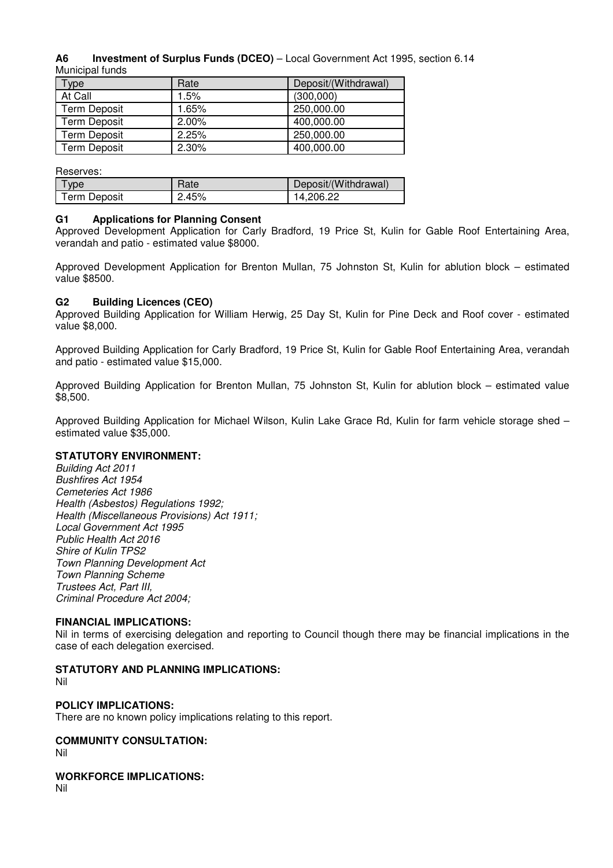### **A6 Investment of Surplus Funds (DCEO)** – Local Government Act 1995, section 6.14 Municipal funds

| Type                | Rate  | Deposit/(Withdrawal) |
|---------------------|-------|----------------------|
| At Call             | 1.5%  | (300,000)            |
| <b>Term Deposit</b> | 1.65% | 250,000.00           |
| <b>Term Deposit</b> | 2.00% | 400,000.00           |
| <b>Term Deposit</b> | 2.25% | 250,000.00           |
| Term Deposit        | 2.30% | 400,000.00           |

Reserves:

| I ype               | Rate  | Deposit/(Withdrawal) |
|---------------------|-------|----------------------|
| <b>Term Deposit</b> | 2.45% | 14.206.22            |

### **G1 Applications for Planning Consent**

Approved Development Application for Carly Bradford, 19 Price St, Kulin for Gable Roof Entertaining Area, verandah and patio - estimated value \$8000.

Approved Development Application for Brenton Mullan, 75 Johnston St, Kulin for ablution block – estimated value \$8500.

### **G2 Building Licences (CEO)**

Approved Building Application for William Herwig, 25 Day St, Kulin for Pine Deck and Roof cover - estimated value \$8,000.

Approved Building Application for Carly Bradford, 19 Price St, Kulin for Gable Roof Entertaining Area, verandah and patio - estimated value \$15,000.

Approved Building Application for Brenton Mullan, 75 Johnston St, Kulin for ablution block – estimated value \$8,500.

Approved Building Application for Michael Wilson, Kulin Lake Grace Rd, Kulin for farm vehicle storage shed – estimated value \$35,000.

### **STATUTORY ENVIRONMENT:**

Building Act 2011 Bushfires Act 1954 Cemeteries Act 1986 Health (Asbestos) Regulations 1992; Health (Miscellaneous Provisions) Act 1911; Local Government Act 1995 Public Health Act 2016 Shire of Kulin TPS2 Town Planning Development Act Town Planning Scheme Trustees Act, Part III, Criminal Procedure Act 2004;

### **FINANCIAL IMPLICATIONS:**

Nil in terms of exercising delegation and reporting to Council though there may be financial implications in the case of each delegation exercised.

### **STATUTORY AND PLANNING IMPLICATIONS:**

Nil

### **POLICY IMPLICATIONS:**

There are no known policy implications relating to this report.

### **COMMUNITY CONSULTATION:**

Nil

### **WORKFORCE IMPLICATIONS:**

Nil